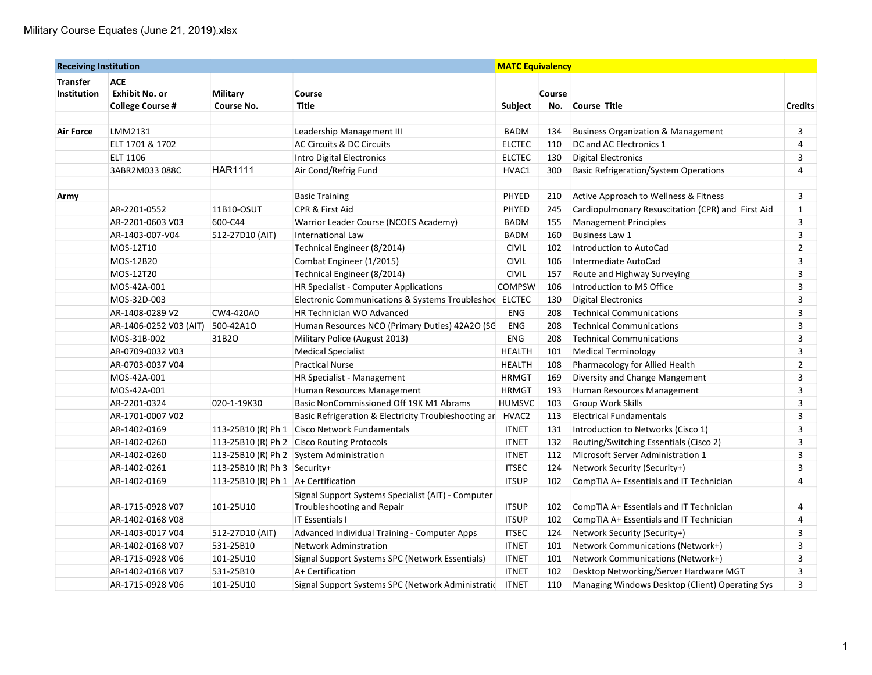| <b>Receiving Institution</b> |                                                  |                                     | <b>MATC Equivalency</b>                                 |               |        |                                                   |                |
|------------------------------|--------------------------------------------------|-------------------------------------|---------------------------------------------------------|---------------|--------|---------------------------------------------------|----------------|
| <b>Transfer</b>              | <b>ACE</b>                                       |                                     |                                                         |               |        |                                                   |                |
| <b>Institution</b>           | <b>Exhibit No. or</b><br><b>College Course #</b> | Military<br>Course No.              | Course<br><b>Title</b>                                  | Subject       | Course | No. Course Title                                  | <b>Credits</b> |
|                              |                                                  |                                     |                                                         |               |        |                                                   |                |
| <b>Air Force</b>             | LMM2131                                          |                                     | Leadership Management III                               | <b>BADM</b>   | 134    | <b>Business Organization &amp; Management</b>     | 3              |
|                              | ELT 1701 & 1702                                  |                                     | <b>AC Circuits &amp; DC Circuits</b>                    | <b>ELCTEC</b> | 110    | DC and AC Electronics 1                           | 4              |
|                              | ELT 1106                                         |                                     | Intro Digital Electronics                               | <b>ELCTEC</b> | 130    | <b>Digital Electronics</b>                        | 3              |
|                              | 3ABR2M033 088C                                   | <b>HAR1111</b>                      | Air Cond/Refrig Fund                                    | HVAC1         | 300    | <b>Basic Refrigeration/System Operations</b>      | 4              |
|                              |                                                  |                                     |                                                         |               |        |                                                   |                |
| Army                         |                                                  |                                     | <b>Basic Training</b>                                   | PHYED         | 210    | Active Approach to Wellness & Fitness             | 3              |
|                              | AR-2201-0552                                     | 11B10-OSUT                          | CPR & First Aid                                         | PHYED         | 245    | Cardiopulmonary Resuscitation (CPR) and First Aid | $\mathbf{1}$   |
|                              | AR-2201-0603 V03                                 | 600-C44                             | Warrior Leader Course (NCOES Academy)                   | <b>BADM</b>   | 155    | <b>Management Principles</b>                      | 3              |
|                              | AR-1403-007-V04                                  | 512-27D10 (AIT)                     | International Law                                       | <b>BADM</b>   | 160    | <b>Business Law 1</b>                             | 3              |
|                              | MOS-12T10                                        |                                     | Technical Engineer (8/2014)                             | <b>CIVIL</b>  | 102    | Introduction to AutoCad                           | $\overline{2}$ |
|                              | MOS-12B20                                        |                                     | Combat Engineer (1/2015)                                | <b>CIVIL</b>  | 106    | Intermediate AutoCad                              | 3              |
|                              | MOS-12T20                                        |                                     | Technical Engineer (8/2014)                             | <b>CIVIL</b>  | 157    | Route and Highway Surveying                       | 3              |
|                              | MOS-42A-001                                      |                                     | HR Specialist - Computer Applications                   | <b>COMPSW</b> | 106    | Introduction to MS Office                         | 3              |
|                              | MOS-32D-003                                      |                                     | Electronic Communications & Systems Troubleshoc ELCTEC  |               | 130    | <b>Digital Electronics</b>                        | 3              |
|                              | AR-1408-0289 V2                                  | CW4-420A0                           | <b>HR Technician WO Advanced</b>                        | <b>ENG</b>    | 208    | <b>Technical Communications</b>                   | 3              |
|                              | AR-1406-0252 V03 (AIT)                           | 500-42A1O                           | Human Resources NCO (Primary Duties) 42A2O (SG          | <b>ENG</b>    | 208    | <b>Technical Communications</b>                   | 3              |
|                              | MOS-31B-002                                      | 31B2O                               | Military Police (August 2013)                           | ENG           | 208    | <b>Technical Communications</b>                   | 3              |
|                              | AR-0709-0032 V03                                 |                                     | <b>Medical Specialist</b>                               | <b>HEALTH</b> | 101    | <b>Medical Terminology</b>                        | 3              |
|                              | AR-0703-0037 V04                                 |                                     | <b>Practical Nurse</b>                                  | <b>HEALTH</b> | 108    | Pharmacology for Allied Health                    | $\overline{2}$ |
|                              | MOS-42A-001                                      |                                     | HR Specialist - Management                              | <b>HRMGT</b>  | 169    | Diversity and Change Mangement                    | 3              |
|                              | MOS-42A-001                                      |                                     | Human Resources Management                              | <b>HRMGT</b>  | 193    | Human Resources Management                        | 3              |
|                              | AR-2201-0324                                     | 020-1-19K30                         | Basic NonCommissioned Off 19K M1 Abrams                 | <b>HUMSVC</b> | 103    | <b>Group Work Skills</b>                          | 3              |
|                              | AR-1701-0007 V02                                 |                                     | Basic Refrigeration & Electricity Troubleshooting an    | HVAC2         | 113    | <b>Electrical Fundamentals</b>                    | 3              |
|                              | AR-1402-0169                                     |                                     | 113-25B10 (R) Ph 1 Cisco Network Fundamentals           | <b>ITNET</b>  | 131    | Introduction to Networks (Cisco 1)                | 3              |
|                              | AR-1402-0260                                     |                                     | 113-25B10 (R) Ph 2 Cisco Routing Protocols              | <b>ITNET</b>  | 132    | Routing/Switching Essentials (Cisco 2)            | 3              |
|                              | AR-1402-0260                                     |                                     | 113-25B10 (R) Ph 2 System Administration                | <b>ITNET</b>  | 112    | Microsoft Server Administration 1                 | 3              |
|                              | AR-1402-0261                                     | 113-25B10 (R) Ph 3 Security+        |                                                         | <b>ITSEC</b>  | 124    | Network Security (Security+)                      | 3              |
|                              | AR-1402-0169                                     | 113-25B10 (R) Ph 1 A+ Certification |                                                         | <b>ITSUP</b>  | 102    | CompTIA A+ Essentials and IT Technician           | 4              |
|                              |                                                  |                                     | Signal Support Systems Specialist (AIT) - Computer      |               |        |                                                   |                |
|                              | AR-1715-0928 V07                                 | 101-25U10                           | Troubleshooting and Repair                              | <b>ITSUP</b>  | 102    | CompTIA A+ Essentials and IT Technician           | 4              |
|                              | AR-1402-0168 V08                                 |                                     | <b>IT Essentials I</b>                                  | <b>ITSUP</b>  | 102    | CompTIA A+ Essentials and IT Technician           | 4              |
|                              | AR-1403-0017 V04                                 | 512-27D10 (AIT)                     | Advanced Individual Training - Computer Apps            | <b>ITSEC</b>  | 124    | Network Security (Security+)                      | 3              |
|                              | AR-1402-0168 V07                                 | 531-25B10                           | <b>Network Adminstration</b>                            | <b>ITNET</b>  | 101    | Network Communications (Network+)                 | 3              |
|                              | AR-1715-0928 V06                                 | 101-25U10                           | Signal Support Systems SPC (Network Essentials)         | <b>ITNET</b>  | 101    | Network Communications (Network+)                 | 3              |
|                              | AR-1402-0168 V07                                 | 531-25B10                           | A+ Certification                                        | <b>ITNET</b>  | 102    | Desktop Networking/Server Hardware MGT            | 3              |
|                              | AR-1715-0928 V06                                 | 101-25U10                           | Signal Support Systems SPC (Network Administratic ITNET |               | 110    | Managing Windows Desktop (Client) Operating Sys   | 3              |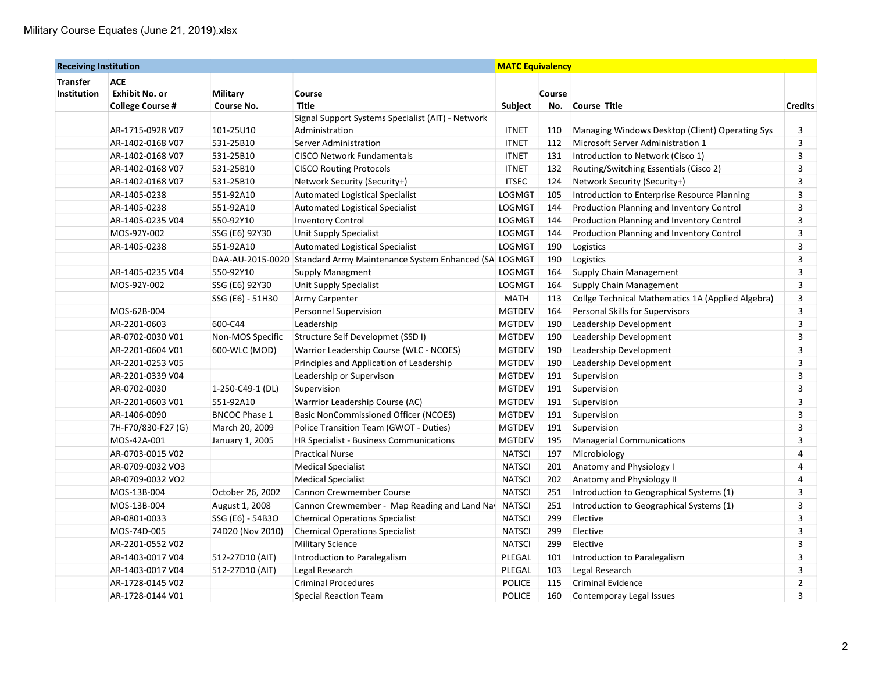| <b>Receiving Institution</b> |                         |                      |                                                      | <b>MATC Equivalency</b> |        |                                                   |                |  |
|------------------------------|-------------------------|----------------------|------------------------------------------------------|-------------------------|--------|---------------------------------------------------|----------------|--|
| <b>Transfer</b>              | <b>ACE</b>              |                      |                                                      |                         |        |                                                   |                |  |
| <b>Institution</b>           | <b>Exhibit No. or</b>   | Military             | Course                                               |                         | Course |                                                   |                |  |
|                              | <b>College Course #</b> | Course No.           | <b>Title</b>                                         | Subject                 | No.    | <b>Course Title</b>                               | <b>Credits</b> |  |
|                              |                         |                      | Signal Support Systems Specialist (AIT) - Network    |                         |        |                                                   |                |  |
|                              | AR-1715-0928 V07        | 101-25U10            | Administration                                       | <b>ITNET</b>            | 110    | Managing Windows Desktop (Client) Operating Sys   | 3              |  |
|                              | AR-1402-0168 V07        | 531-25B10            | Server Administration                                | <b>ITNET</b>            | 112    | Microsoft Server Administration 1                 | 3              |  |
|                              | AR-1402-0168 V07        | 531-25B10            | <b>CISCO Network Fundamentals</b>                    | <b>ITNET</b>            | 131    | Introduction to Network (Cisco 1)                 | 3              |  |
|                              | AR-1402-0168 V07        | 531-25B10            | <b>CISCO Routing Protocols</b>                       | <b>ITNET</b>            | 132    | Routing/Switching Essentials (Cisco 2)            | 3              |  |
|                              | AR-1402-0168 V07        | 531-25B10            | Network Security (Security+)                         | <b>ITSEC</b>            | 124    | Network Security (Security+)                      | 3              |  |
|                              | AR-1405-0238            | 551-92A10            | <b>Automated Logistical Specialist</b>               | <b>LOGMGT</b>           | 105    | Introduction to Enterprise Resource Planning      | 3              |  |
|                              | AR-1405-0238            | 551-92A10            | <b>Automated Logistical Specialist</b>               | <b>LOGMGT</b>           | 144    | Production Planning and Inventory Control         | 3              |  |
|                              | AR-1405-0235 V04        | 550-92Y10            | <b>Inventory Control</b>                             | <b>LOGMGT</b>           | 144    | Production Planning and Inventory Control         | 3              |  |
|                              | MOS-92Y-002             | SSG (E6) 92Y30       | Unit Supply Specialist                               | <b>LOGMGT</b>           | 144    | Production Planning and Inventory Control         | 3              |  |
|                              | AR-1405-0238            | 551-92A10            | <b>Automated Logistical Specialist</b>               | <b>LOGMGT</b>           | 190    | Logistics                                         | 3              |  |
|                              |                         | DAA-AU-2015-0020     | Standard Army Maintenance System Enhanced (SA LOGMGT |                         | 190    | Logistics                                         | 3              |  |
|                              | AR-1405-0235 V04        | 550-92Y10            | <b>Supply Managment</b>                              | <b>LOGMGT</b>           | 164    | Supply Chain Management                           | 3              |  |
|                              | MOS-92Y-002             | SSG (E6) 92Y30       | Unit Supply Specialist                               | <b>LOGMGT</b>           | 164    | Supply Chain Management                           | 3              |  |
|                              |                         | SSG (E6) - 51H30     | Army Carpenter                                       | <b>MATH</b>             | 113    | Collge Technical Mathematics 1A (Applied Algebra) | 3              |  |
|                              | MOS-62B-004             |                      | Personnel Supervision                                | <b>MGTDEV</b>           | 164    | Personal Skills for Supervisors                   | 3              |  |
|                              | AR-2201-0603            | 600-C44              | Leadership                                           | <b>MGTDEV</b>           | 190    | Leadership Development                            | 3              |  |
|                              | AR-0702-0030 V01        | Non-MOS Specific     | Structure Self Developmet (SSD I)                    | <b>MGTDEV</b>           | 190    | Leadership Development                            | 3              |  |
|                              | AR-2201-0604 V01        | 600-WLC (MOD)        | Warrior Leadership Course (WLC - NCOES)              | <b>MGTDEV</b>           | 190    | Leadership Development                            | 3              |  |
|                              | AR-2201-0253 V05        |                      | Principles and Application of Leadership             | <b>MGTDEV</b>           | 190    | Leadership Development                            | 3              |  |
|                              | AR-2201-0339 V04        |                      | Leadership or Supervison                             | <b>MGTDEV</b>           | 191    | Supervision                                       | 3              |  |
|                              | AR-0702-0030            | 1-250-C49-1 (DL)     | Supervision                                          | <b>MGTDEV</b>           | 191    | Supervision                                       | 3              |  |
|                              | AR-2201-0603 V01        | 551-92A10            | Warrrior Leadership Course (AC)                      | <b>MGTDEV</b>           | 191    | Supervision                                       | 3              |  |
|                              | AR-1406-0090            | <b>BNCOC Phase 1</b> | Basic NonCommissioned Officer (NCOES)                | <b>MGTDEV</b>           | 191    | Supervision                                       | 3              |  |
|                              | 7H-F70/830-F27 (G)      | March 20, 2009       | Police Transition Team (GWOT - Duties)               | <b>MGTDEV</b>           | 191    | Supervision                                       | 3              |  |
|                              | MOS-42A-001             | January 1, 2005      | HR Specialist - Business Communications              | <b>MGTDEV</b>           | 195    | <b>Managerial Communications</b>                  | 3              |  |
|                              | AR-0703-0015 V02        |                      | <b>Practical Nurse</b>                               | <b>NATSCI</b>           | 197    | Microbiology                                      | 4              |  |
|                              | AR-0709-0032 VO3        |                      | <b>Medical Specialist</b>                            | <b>NATSCI</b>           | 201    | Anatomy and Physiology I                          | 4              |  |
|                              | AR-0709-0032 VO2        |                      | <b>Medical Specialist</b>                            | <b>NATSCI</b>           | 202    | <b>Anatomy and Physiology II</b>                  | 4              |  |
|                              | MOS-13B-004             | October 26, 2002     | <b>Cannon Crewmember Course</b>                      | <b>NATSCI</b>           | 251    | Introduction to Geographical Systems (1)          | 3              |  |
|                              | MOS-13B-004             | August 1, 2008       | Cannon Crewmember - Map Reading and Land Nay         | <b>NATSCI</b>           | 251    | Introduction to Geographical Systems (1)          | 3              |  |
|                              | AR-0801-0033            | SSG (E6) - 54B3O     | <b>Chemical Operations Specialist</b>                | <b>NATSCI</b>           | 299    | Elective                                          | 3              |  |
|                              | MOS-74D-005             | 74D20 (Nov 2010)     | <b>Chemical Operations Specialist</b>                | <b>NATSCI</b>           | 299    | Elective                                          | 3              |  |
|                              | AR-2201-0552 V02        |                      | <b>Military Science</b>                              | <b>NATSCI</b>           | 299    | Elective                                          | 3              |  |
|                              | AR-1403-0017 V04        | 512-27D10 (AIT)      | Introduction to Paralegalism                         | PLEGAL                  | 101    | Introduction to Paralegalism                      | 3              |  |
|                              | AR-1403-0017 V04        | 512-27D10 (AIT)      | Legal Research                                       | PLEGAL                  | 103    | Legal Research                                    | 3              |  |
|                              | AR-1728-0145 V02        |                      | <b>Criminal Procedures</b>                           | <b>POLICE</b>           | 115    | <b>Criminal Evidence</b>                          | $\overline{2}$ |  |
|                              | AR-1728-0144 V01        |                      | <b>Special Reaction Team</b>                         | <b>POLICE</b>           | 160    | Contemporay Legal Issues                          | 3              |  |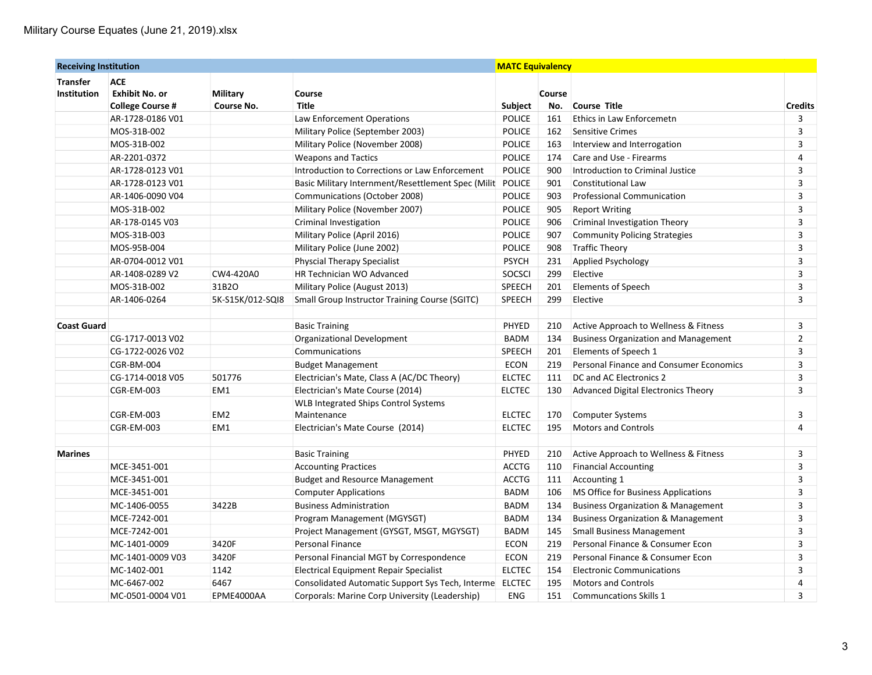| <b>Receiving Institution</b> |                         |                   | <b>MATC Equivalency</b>                                    |               |        |                                               |                         |
|------------------------------|-------------------------|-------------------|------------------------------------------------------------|---------------|--------|-----------------------------------------------|-------------------------|
| <b>Transfer</b>              | <b>ACE</b>              |                   |                                                            |               |        |                                               |                         |
| <b>Institution</b>           | <b>Exhibit No. or</b>   | Military          | Course                                                     |               | Course |                                               |                         |
|                              | <b>College Course #</b> | <b>Course No.</b> | <b>Title</b>                                               | Subject       | No.    | <b>Course Title</b>                           | <b>Credits</b>          |
|                              | AR-1728-0186 V01        |                   | Law Enforcement Operations                                 | <b>POLICE</b> | 161    | Ethics in Law Enforcemetn                     | 3                       |
|                              | MOS-31B-002             |                   | Military Police (September 2003)                           | <b>POLICE</b> | 162    | <b>Sensitive Crimes</b>                       | 3                       |
|                              | MOS-31B-002             |                   | Military Police (November 2008)                            | <b>POLICE</b> | 163    | Interview and Interrogation                   | 3                       |
|                              | AR-2201-0372            |                   | <b>Weapons and Tactics</b>                                 | <b>POLICE</b> | 174    | Care and Use - Firearms                       | 4                       |
|                              | AR-1728-0123 V01        |                   | Introduction to Corrections or Law Enforcement             | <b>POLICE</b> | 900    | Introduction to Criminal Justice              | 3                       |
|                              | AR-1728-0123 V01        |                   | Basic Military Internment/Resettlement Spec (Milit         | POLICE        | 901    | <b>Constitutional Law</b>                     | 3                       |
|                              | AR-1406-0090 V04        |                   | Communications (October 2008)                              | <b>POLICE</b> | 903    | <b>Professional Communication</b>             | 3                       |
|                              | MOS-31B-002             |                   | Military Police (November 2007)                            | POLICE        | 905    | <b>Report Writing</b>                         | 3                       |
|                              | AR-178-0145 V03         |                   | Criminal Investigation                                     | POLICE        | 906    | Criminal Investigation Theory                 | 3                       |
|                              | MOS-31B-003             |                   | Military Police (April 2016)                               | <b>POLICE</b> | 907    | <b>Community Policing Strategies</b>          | $\overline{\mathbf{3}}$ |
|                              | MOS-95B-004             |                   | Military Police (June 2002)                                | POLICE        | 908    | <b>Traffic Theory</b>                         | 3                       |
|                              | AR-0704-0012 V01        |                   | <b>Physcial Therapy Specialist</b>                         | <b>PSYCH</b>  | 231    | Applied Psychology                            | 3                       |
|                              | AR-1408-0289 V2         | CW4-420A0         | HR Technician WO Advanced                                  | SOCSCI        | 299    | Elective                                      | 3                       |
|                              | MOS-31B-002             | 31B2O             | Military Police (August 2013)                              | SPEECH        | 201    | <b>Elements of Speech</b>                     | 3                       |
|                              | AR-1406-0264            | 5K-S15K/012-SQI8  | <b>Small Group Instructor Training Course (SGITC)</b>      | SPEECH        | 299    | Elective                                      | 3                       |
| <b>Coast Guard</b>           |                         |                   | <b>Basic Training</b>                                      | PHYED         | 210    | Active Approach to Wellness & Fitness         | 3                       |
|                              | CG-1717-0013 V02        |                   | Organizational Development                                 | <b>BADM</b>   | 134    | <b>Business Organization and Management</b>   | $\overline{2}$          |
|                              | CG-1722-0026 V02        |                   | Communications                                             | SPEECH        | 201    | Elements of Speech 1                          | 3                       |
|                              | CGR-BM-004              |                   | <b>Budget Management</b>                                   | ECON          | 219    | Personal Finance and Consumer Economics       | 3                       |
|                              | CG-1714-0018 V05        | 501776            | Electrician's Mate, Class A (AC/DC Theory)                 | <b>ELCTEC</b> | 111    | DC and AC Electronics 2                       | 3                       |
|                              | <b>CGR-EM-003</b>       | EM1               | Electrician's Mate Course (2014)                           | <b>ELCTEC</b> | 130    | Advanced Digital Electronics Theory           | 3                       |
|                              | CGR-EM-003              | EM <sub>2</sub>   | <b>WLB Integrated Ships Control Systems</b><br>Maintenance | <b>ELCTEC</b> | 170    | <b>Computer Systems</b>                       | 3                       |
|                              | CGR-EM-003              | EM <sub>1</sub>   | Electrician's Mate Course (2014)                           | <b>ELCTEC</b> | 195    | <b>Motors and Controls</b>                    | $\overline{4}$          |
|                              |                         |                   |                                                            |               |        |                                               |                         |
| <b>Marines</b>               |                         |                   | <b>Basic Training</b>                                      | PHYED         | 210    | Active Approach to Wellness & Fitness         | $\overline{3}$          |
|                              | MCE-3451-001            |                   | <b>Accounting Practices</b>                                | <b>ACCTG</b>  | 110    | <b>Financial Accounting</b>                   | 3                       |
|                              | MCE-3451-001            |                   | <b>Budget and Resource Management</b>                      | <b>ACCTG</b>  | 111    | Accounting 1                                  | 3                       |
|                              | MCE-3451-001            |                   | <b>Computer Applications</b>                               | <b>BADM</b>   | 106    | MS Office for Business Applications           | 3                       |
|                              | MC-1406-0055            | 3422B             | <b>Business Administration</b>                             | <b>BADM</b>   | 134    | <b>Business Organization &amp; Management</b> | 3                       |
|                              | MCE-7242-001            |                   | Program Management (MGYSGT)                                | <b>BADM</b>   | 134    | <b>Business Organization &amp; Management</b> | 3                       |
|                              | MCE-7242-001            |                   | Project Management (GYSGT, MSGT, MGYSGT)                   | <b>BADM</b>   | 145    | <b>Small Business Management</b>              | 3                       |
|                              | MC-1401-0009            | 3420F             | <b>Personal Finance</b>                                    | <b>ECON</b>   | 219    | Personal Finance & Consumer Econ              | 3                       |
|                              | MC-1401-0009 V03        | 3420F             | Personal Financial MGT by Correspondence                   | <b>ECON</b>   | 219    | Personal Finance & Consumer Econ              | 3                       |
|                              | MC-1402-001             | 1142              | Electrical Equipment Repair Specialist                     | <b>ELCTEC</b> | 154    | <b>Electronic Communications</b>              | 3                       |
|                              | MC-6467-002             | 6467              | Consolidated Automatic Support Sys Tech, Interme ELCTEC    |               | 195    | <b>Motors and Controls</b>                    | 4                       |
|                              | MC-0501-0004 V01        | EPME4000AA        | Corporals: Marine Corp University (Leadership)             | <b>ENG</b>    | 151    | <b>Communcations Skills 1</b>                 | 3                       |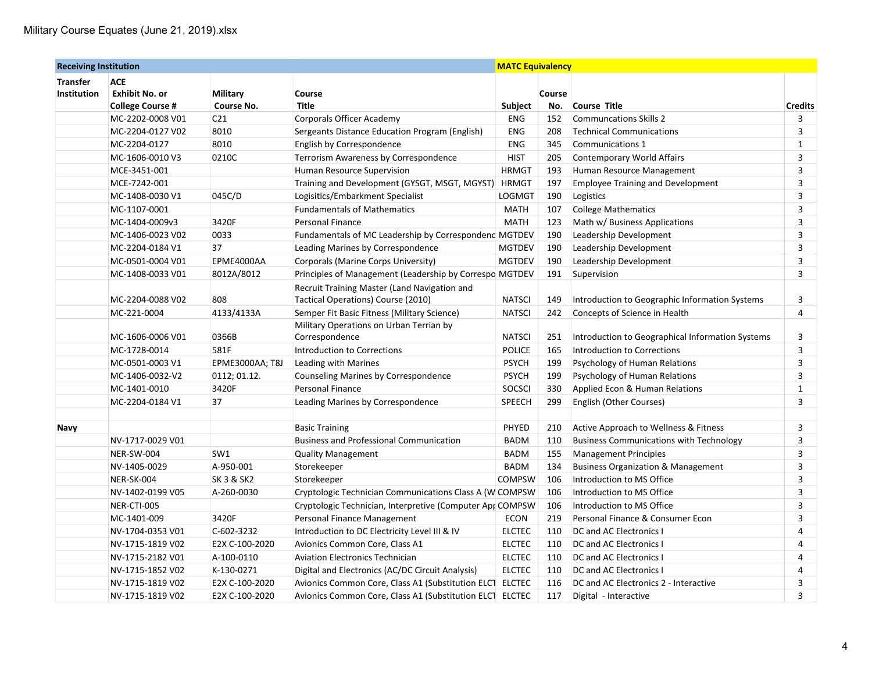| <b>Receiving Institution</b> |                         |                       | <b>MATC Equivalency</b>                                   |               |        |                                                  |                         |
|------------------------------|-------------------------|-----------------------|-----------------------------------------------------------|---------------|--------|--------------------------------------------------|-------------------------|
| <b>Transfer</b>              | <b>ACE</b>              |                       |                                                           |               |        |                                                  |                         |
| <b>Institution</b>           | <b>Exhibit No. or</b>   | Military              | Course                                                    |               | Course |                                                  |                         |
|                              | <b>College Course #</b> | Course No.            | <b>Title</b>                                              | Subject       | No.    | <b>Course Title</b>                              | <b>Credits</b>          |
|                              | MC-2202-0008 V01        | C <sub>21</sub>       | <b>Corporals Officer Academy</b>                          | <b>ENG</b>    | 152    | <b>Communcations Skills 2</b>                    | 3                       |
|                              | MC-2204-0127 V02        | 8010                  | Sergeants Distance Education Program (English)            | <b>ENG</b>    | 208    | <b>Technical Communications</b>                  | 3                       |
|                              | MC-2204-0127            | 8010                  | English by Correspondence                                 | <b>ENG</b>    | 345    | Communications 1                                 | $\mathbf{1}$            |
|                              | MC-1606-0010 V3         | 0210C                 | Terrorism Awareness by Correspondence                     | <b>HIST</b>   | 205    | <b>Contemporary World Affairs</b>                | 3                       |
|                              | MCE-3451-001            |                       | Human Resource Supervision                                | <b>HRMGT</b>  | 193    | Human Resource Management                        | 3                       |
|                              | MCE-7242-001            |                       | Training and Development (GYSGT, MSGT, MGYST)             | <b>HRMGT</b>  | 197    | <b>Employee Training and Development</b>         | 3                       |
|                              | MC-1408-0030 V1         | 045C/D                | Logisitics/Embarkment Specialist                          | LOGMGT        | 190    | Logistics                                        | 3                       |
|                              | MC-1107-0001            |                       | <b>Fundamentals of Mathematics</b>                        | <b>MATH</b>   | 107    | <b>College Mathematics</b>                       | 3                       |
|                              | MC-1404-0009v3          | 3420F                 | Personal Finance                                          | MATH          | 123    | Math w/ Business Applications                    | 3                       |
|                              | MC-1406-0023 V02        | 0033                  | Fundamentals of MC Leadership by Correspondenc MGTDEV     |               | 190    | Leadership Development                           | 3                       |
|                              | MC-2204-0184 V1         | 37                    | Leading Marines by Correspondence                         | <b>MGTDEV</b> | 190    | Leadership Development                           | 3                       |
|                              | MC-0501-0004 V01        | EPME4000AA            | Corporals (Marine Corps University)                       | <b>MGTDEV</b> | 190    | Leadership Development                           | 3                       |
|                              | MC-1408-0033 V01        | 8012A/8012            | Principles of Management (Leadership by Correspo MGTDEV   |               | 191    | Supervision                                      | 3                       |
|                              |                         |                       | Recruit Training Master (Land Navigation and              |               |        |                                                  |                         |
|                              | MC-2204-0088 V02        | 808                   | Tactical Operations) Course (2010)                        | <b>NATSCI</b> | 149    | Introduction to Geographic Information Systems   | 3                       |
|                              | MC-221-0004             | 4133/4133A            | Semper Fit Basic Fitness (Military Science)               | <b>NATSCI</b> | 242    | Concepts of Science in Health                    | 4                       |
|                              |                         |                       | Military Operations on Urban Terrian by                   |               |        |                                                  |                         |
|                              | MC-1606-0006 V01        | 0366B                 | Correspondence                                            | <b>NATSCI</b> | 251    | Introduction to Geographical Information Systems | 3                       |
|                              | MC-1728-0014            | 581F                  | <b>Introduction to Corrections</b>                        | POLICE        | 165    | Introduction to Corrections                      | 3                       |
|                              | MC-0501-0003 V1         | EPME3000AA; T8J       | Leading with Marines                                      | <b>PSYCH</b>  | 199    | Psychology of Human Relations                    | $\overline{\mathbf{3}}$ |
|                              | MC-1406-0032-V2         | 0112; 01.12.          | Counseling Marines by Correspondence                      | <b>PSYCH</b>  | 199    | Psychology of Human Relations                    | 3                       |
|                              | MC-1401-0010            | 3420F                 | Personal Finance                                          | SOCSCI        | 330    | Applied Econ & Human Relations                   | $\mathbf{1}$            |
|                              | MC-2204-0184 V1         | 37                    | Leading Marines by Correspondence                         | SPEECH        | 299    | English (Other Courses)                          | 3                       |
|                              |                         |                       |                                                           |               |        |                                                  |                         |
| Navy                         |                         |                       | <b>Basic Training</b>                                     | PHYED         | 210    | Active Approach to Wellness & Fitness            | 3                       |
|                              | NV-1717-0029 V01        |                       | <b>Business and Professional Communication</b>            | <b>BADM</b>   | 110    | <b>Business Communications with Technology</b>   | 3                       |
|                              | NER-SW-004              | SW <sub>1</sub>       | <b>Quality Management</b>                                 | <b>BADM</b>   | 155    | <b>Management Principles</b>                     | 3                       |
|                              | NV-1405-0029            | A-950-001             | Storekeeper                                               | BADM          | 134    | <b>Business Organization &amp; Management</b>    | 3                       |
|                              | NER-SK-004              | <b>SK 3 &amp; SK2</b> | Storekeeper                                               | <b>COMPSW</b> | 106    | Introduction to MS Office                        | 3                       |
|                              | NV-1402-0199 V05        | A-260-0030            | Cryptologic Technician Communications Class A (W COMPSW   |               | 106    | Introduction to MS Office                        | 3                       |
|                              | NER-CTI-005             |                       | Cryptologic Technician, Interpretive (Computer Apr COMPSW |               | 106    | Introduction to MS Office                        | 3                       |
|                              | MC-1401-009             | 3420F                 | Personal Finance Management                               | <b>ECON</b>   | 219    | Personal Finance & Consumer Econ                 | 3                       |
|                              | NV-1704-0353 V01        | C-602-3232            | Introduction to DC Electricity Level III & IV             | <b>ELCTEC</b> | 110    | DC and AC Electronics I                          | 4                       |
|                              | NV-1715-1819 V02        | E2X C-100-2020        | Avionics Common Core, Class A1                            | <b>ELCTEC</b> | 110    | DC and AC Electronics I                          | 4                       |
|                              | NV-1715-2182 V01        | A-100-0110            | <b>Aviation Electronics Technician</b>                    | <b>ELCTEC</b> | 110    | DC and AC Electronics I                          | 4                       |
|                              | NV-1715-1852 V02        | K-130-0271            | Digital and Electronics (AC/DC Circuit Analysis)          | <b>ELCTEC</b> | 110    | DC and AC Electronics I                          | 4                       |
|                              | NV-1715-1819 V02        | E2X C-100-2020        | Avionics Common Core, Class A1 (Substitution ELCT ELCTEC  |               | 116    | DC and AC Electronics 2 - Interactive            | 3                       |
|                              | NV-1715-1819 V02        | E2X C-100-2020        | Avionics Common Core, Class A1 (Substitution ELCT ELCTEC  |               | 117    | Digital - Interactive                            | 3                       |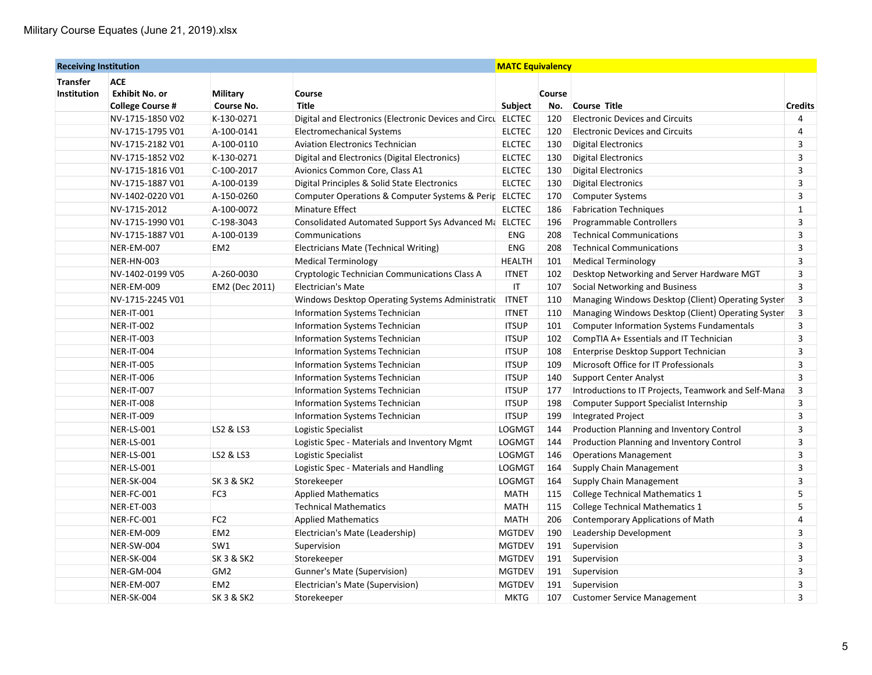| <b>Receiving Institution</b> |                         |                       | <b>MATC Equivalency</b>                               |               |        |                                                      |                |
|------------------------------|-------------------------|-----------------------|-------------------------------------------------------|---------------|--------|------------------------------------------------------|----------------|
| <b>Transfer</b>              | <b>ACE</b>              |                       |                                                       |               |        |                                                      |                |
| <b>Institution</b>           | <b>Exhibit No. or</b>   | Military              | Course                                                |               | Course |                                                      |                |
|                              | <b>College Course #</b> | Course No.            | <b>Title</b>                                          | Subject       | No.    | <b>Course Title</b>                                  | <b>Credits</b> |
|                              | NV-1715-1850 V02        | K-130-0271            | Digital and Electronics (Electronic Devices and Circu | <b>ELCTEC</b> | 120    | <b>Electronic Devices and Circuits</b>               | $\overline{4}$ |
|                              | NV-1715-1795 V01        | A-100-0141            | <b>Electromechanical Systems</b>                      | <b>ELCTEC</b> | 120    | <b>Electronic Devices and Circuits</b>               | 4              |
|                              | NV-1715-2182 V01        | A-100-0110            | <b>Aviation Electronics Technician</b>                | <b>ELCTEC</b> | 130    | <b>Digital Electronics</b>                           | 3              |
|                              | NV-1715-1852 V02        | K-130-0271            | Digital and Electronics (Digital Electronics)         | <b>ELCTEC</b> | 130    | <b>Digital Electronics</b>                           | 3              |
|                              | NV-1715-1816 V01        | C-100-2017            | Avionics Common Core, Class A1                        | <b>ELCTEC</b> | 130    | <b>Digital Electronics</b>                           | 3              |
|                              | NV-1715-1887 V01        | A-100-0139            | Digital Principles & Solid State Electronics          | <b>ELCTEC</b> | 130    | <b>Digital Electronics</b>                           | 3              |
|                              | NV-1402-0220 V01        | A-150-0260            | Computer Operations & Computer Systems & Perip        | <b>ELCTEC</b> | 170    | <b>Computer Systems</b>                              | 3              |
|                              | NV-1715-2012            | A-100-0072            | Minature Effect                                       | <b>ELCTEC</b> | 186    | <b>Fabrication Techniques</b>                        | $\mathbf{1}$   |
|                              | NV-1715-1990 V01        | C-198-3043            | Consolidated Automated Support Sys Advanced Ma ELCTEC |               | 196    | Programmable Controllers                             | 3              |
|                              | NV-1715-1887 V01        | A-100-0139            | Communications                                        | ENG           | 208    | <b>Technical Communications</b>                      | 3              |
|                              | NER-EM-007              | EM <sub>2</sub>       | Electricians Mate (Technical Writing)                 | ENG           | 208    | <b>Technical Communications</b>                      | 3              |
|                              | NER-HN-003              |                       | <b>Medical Terminology</b>                            | <b>HEALTH</b> | 101    | <b>Medical Terminology</b>                           | 3              |
|                              | NV-1402-0199 V05        | A-260-0030            | Cryptologic Technician Communications Class A         | <b>ITNET</b>  | 102    | Desktop Networking and Server Hardware MGT           | 3              |
|                              | NER-EM-009              | EM2 (Dec 2011)        | <b>Electrician's Mate</b>                             | IT            | 107    | Social Networking and Business                       | 3              |
|                              | NV-1715-2245 V01        |                       | Windows Desktop Operating Systems Administratic       | <b>ITNET</b>  | 110    | Managing Windows Desktop (Client) Operating Syster   | 3              |
|                              | <b>NER-IT-001</b>       |                       | Information Systems Technician                        | <b>ITNET</b>  | 110    | Managing Windows Desktop (Client) Operating System   | 3              |
|                              | <b>NER-IT-002</b>       |                       | Information Systems Technician                        | <b>ITSUP</b>  | 101    | <b>Computer Information Systems Fundamentals</b>     | 3              |
|                              | <b>NER-IT-003</b>       |                       | Information Systems Technician                        | <b>ITSUP</b>  | 102    | CompTIA A+ Essentials and IT Technician              | 3              |
|                              | <b>NER-IT-004</b>       |                       | Information Systems Technician                        | <b>ITSUP</b>  | 108    | Enterprise Desktop Support Technician                | 3              |
|                              | <b>NER-IT-005</b>       |                       | Information Systems Technician                        | <b>ITSUP</b>  | 109    | Microsoft Office for IT Professionals                | 3              |
|                              | NER-IT-006              |                       | <b>Information Systems Technician</b>                 | <b>ITSUP</b>  | 140    | <b>Support Center Analyst</b>                        | 3              |
|                              | <b>NER-IT-007</b>       |                       | Information Systems Technician                        | <b>ITSUP</b>  | 177    | Introductions to IT Projects, Teamwork and Self-Mana | 3              |
|                              | NER-IT-008              |                       | <b>Information Systems Technician</b>                 | <b>ITSUP</b>  | 198    | Computer Support Specialist Internship               | 3              |
|                              | <b>NER-IT-009</b>       |                       | <b>Information Systems Technician</b>                 | <b>ITSUP</b>  | 199    | <b>Integrated Project</b>                            | 3              |
|                              | NER-LS-001              | LS2 & LS3             | Logistic Specialist                                   | LOGMGT        | 144    | <b>Production Planning and Inventory Control</b>     | 3              |
|                              | <b>NER-LS-001</b>       |                       | Logistic Spec - Materials and Inventory Mgmt          | LOGMGT        | 144    | Production Planning and Inventory Control            | 3              |
|                              | NER-LS-001              | LS2 & LS3             | Logistic Specialist                                   | <b>LOGMGT</b> | 146    | <b>Operations Management</b>                         | 3              |
|                              | <b>NER-LS-001</b>       |                       | Logistic Spec - Materials and Handling                | <b>LOGMGT</b> | 164    | <b>Supply Chain Management</b>                       | 3              |
|                              | NER-SK-004              | <b>SK 3 &amp; SK2</b> | Storekeeper                                           | LOGMGT        | 164    | <b>Supply Chain Management</b>                       | 3              |
|                              | NER-FC-001              | FC <sub>3</sub>       | <b>Applied Mathematics</b>                            | <b>MATH</b>   | 115    | <b>College Technical Mathematics 1</b>               | 5              |
|                              | NER-ET-003              |                       | Technical Mathematics                                 | <b>MATH</b>   | 115    | <b>College Technical Mathematics 1</b>               | 5              |
|                              | NER-FC-001              | FC <sub>2</sub>       | <b>Applied Mathematics</b>                            | <b>MATH</b>   | 206    | Contemporary Applications of Math                    | 4              |
|                              | NER-EM-009              | EM <sub>2</sub>       | Electrician's Mate (Leadership)                       | <b>MGTDEV</b> | 190    | Leadership Development                               | 3              |
|                              | NER-SW-004              | SW1                   | Supervision                                           | <b>MGTDEV</b> | 191    | Supervision                                          | 3              |
|                              | NER-SK-004              | <b>SK 3 &amp; SK2</b> | Storekeeper                                           | <b>MGTDEV</b> | 191    | Supervision                                          | 3              |
|                              | NER-GM-004              | GM <sub>2</sub>       | <b>Gunner's Mate (Supervision)</b>                    | <b>MGTDEV</b> | 191    | Supervision                                          | 3              |
|                              | <b>NER-EM-007</b>       | EM <sub>2</sub>       | Electrician's Mate (Supervision)                      | <b>MGTDEV</b> | 191    | Supervision                                          | 3              |
|                              | NER-SK-004              | <b>SK 3 &amp; SK2</b> | Storekeeper                                           | <b>MKTG</b>   | 107    | <b>Customer Service Management</b>                   | 3              |